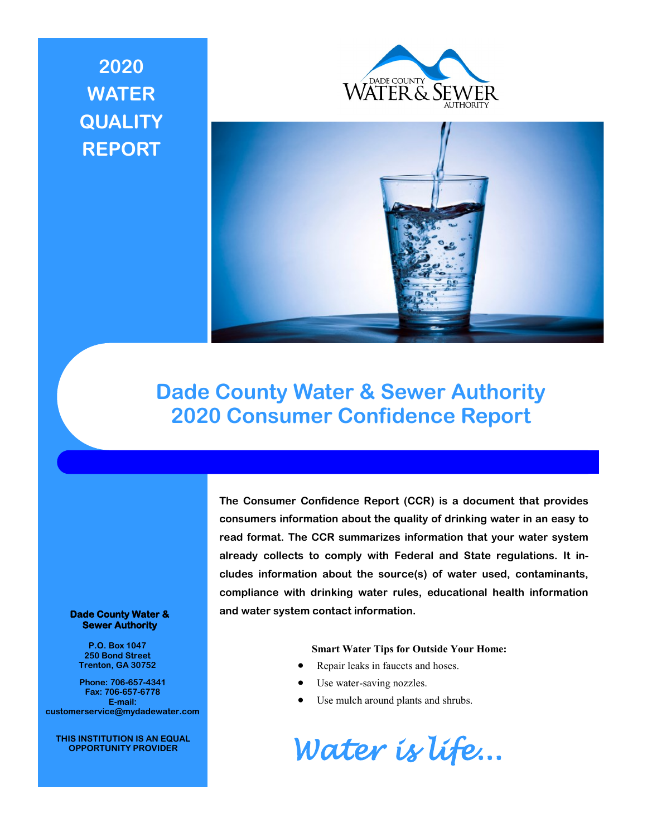# **2020 WATER QUALITY REPORT**





## **Dade County Water & Sewer Authority 2020 Consumer Confidence Report**

#### **Dade County Water & Sewer Authority**

**P.O. Box 1047 250 Bond Street Trenton, GA 30752**

**Phone: 706-657-4341 Fax: 706-657-6778 E-mail: customerservice@mydadewater.com**

**THIS INSTITUTION IS AN EQUAL OPPORTUNITY PROVIDER**

**The Consumer Confidence Report (CCR) is a document that provides consumers information about the quality of drinking water in an easy to read format. The CCR summarizes information that your water system already collects to comply with Federal and State regulations. It includes information about the source(s) of water used, contaminants, compliance with drinking water rules, educational health information and water system contact information.** 

#### **Smart Water Tips for Outside Your Home:**

- Repair leaks in faucets and hoses.
- Use water-saving nozzles.
- Use mulch around plants and shrubs.

*Water is life...*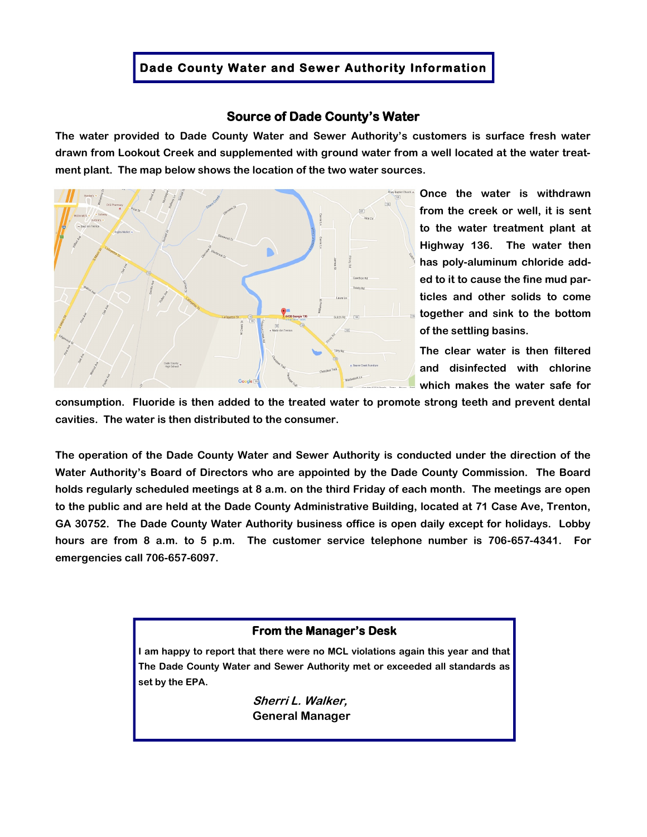## **Dade County Water and Sewer Authority Information**

## **Source of Dade County's Water**

**The water provided to Dade County Water and Sewer Authority's customers is surface fresh water drawn from Lookout Creek and supplemented with ground water from a well located at the water treatment plant. The map below shows the location of the two water sources.**



**Once the water is withdrawn from the creek or well, it is sent to the water treatment plant at Highway 136. The water then has poly-aluminum chloride added to it to cause the fine mud particles and other solids to come together and sink to the bottom of the settling basins.**

**The clear water is then filtered and disinfected with chlorine which makes the water safe for** 

**consumption. Fluoride is then added to the treated water to promote strong teeth and prevent dental cavities. The water is then distributed to the consumer.**

**The operation of the Dade County Water and Sewer Authority is conducted under the direction of the Water Authority's Board of Directors who are appointed by the Dade County Commission. The Board holds regularly scheduled meetings at 8 a.m. on the third Friday of each month. The meetings are open to the public and are held at the Dade County Administrative Building, located at 71 Case Ave, Trenton, GA 30752. The Dade County Water Authority business office is open daily except for holidays. Lobby hours are from 8 a.m. to 5 p.m. The customer service telephone number is 706-657-4341. For emergencies call 706-657-6097.** 

## **From the Manager's Desk**

**I am happy to report that there were no MCL violations again this year and that The Dade County Water and Sewer Authority met or exceeded all standards as set by the EPA.**

> **Sherri L. Walker, General Manager**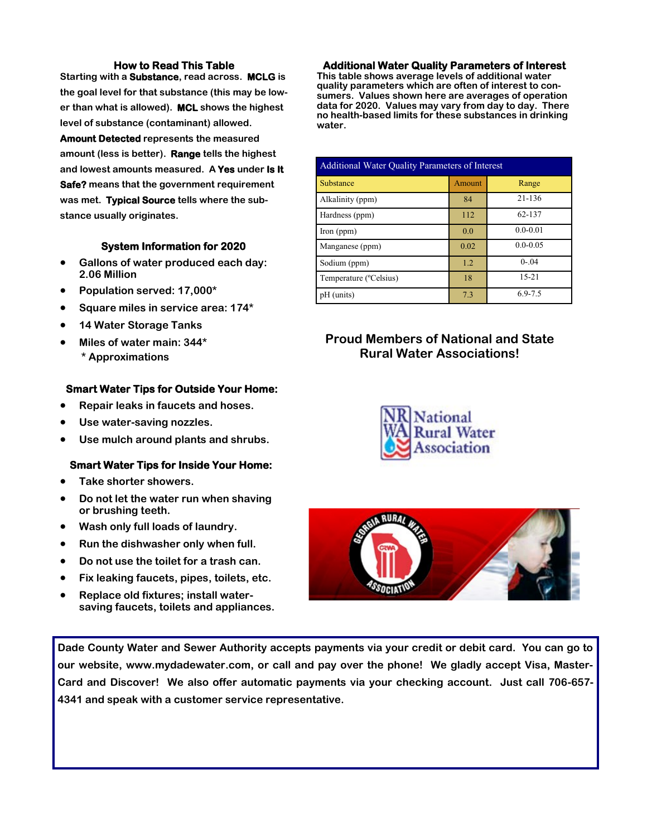## **How to Read This Table**

**Starting with a Substance, read across. MCLG is the goal level for that substance (this may be lower than what is allowed). MCL shows the highest level of substance (contaminant) allowed.** 

**Amount Detected represents the measured amount (less is better). Range tells the highest and lowest amounts measured. A Yes under Is It Safe? means that the government requirement was met. Typical Source tells where the substance usually originates.**

## **System Information for 2020**

- **Gallons of water produced each day: 2.06 Million**
- **Population served: 17,000\***
- **Square miles in service area: 174\***
- **14 Water Storage Tanks**
- **Miles of water main: 344\* \* Approximations**

## **Smart Water Tips for Outside Your Home:**

- **Repair leaks in faucets and hoses.**
- **Use water-saving nozzles.**
- **Use mulch around plants and shrubs.**

#### **Smart Water Tips for Inside Your Home:**

- **Take shorter showers.**
- **Do not let the water run when shaving or brushing teeth.**
- **Wash only full loads of laundry.**
- **Run the dishwasher only when full.**
- **Do not use the toilet for a trash can.**
- **Fix leaking faucets, pipes, toilets, etc.**
- **Replace old fixtures; install watersaving faucets, toilets and appliances.**

#### **Additional Water Quality Parameters of Interest**

**This table shows average levels of additional water quality parameters which are often of interest to consumers. Values shown here are averages of operation data for 2020. Values may vary from day to day. There no health-based limits for these substances in drinking water.**

| <b>Additional Water Quality Parameters of Interest</b> |               |              |  |  |  |  |
|--------------------------------------------------------|---------------|--------------|--|--|--|--|
| Substance                                              | <b>Amount</b> | Range        |  |  |  |  |
| Alkalinity (ppm)                                       | 84            | 21-136       |  |  |  |  |
| Hardness (ppm)                                         | 112           | 62-137       |  |  |  |  |
| $\Gamma$ (ppm)                                         | 0.0           | $0.0 - 0.01$ |  |  |  |  |
| Manganese (ppm)                                        | 0.02          | $0.0 - 0.05$ |  |  |  |  |
| Sodium (ppm)                                           | 1.2           | $0 - 04$     |  |  |  |  |
| Temperature ( <sup>o</sup> Celsius)                    | 18            | $15 - 21$    |  |  |  |  |
| pH (units)                                             | 7.3           | $6.9 - 7.5$  |  |  |  |  |

## **Proud Members of National and State Rural Water Associations!**





**Dade County Water and Sewer Authority accepts payments via your credit or debit card. You can go to our website, www.mydadewater.com, or call and pay over the phone! We gladly accept Visa, Master-Card and Discover! We also offer automatic payments via your checking account. Just call 706-657- 4341 and speak with a customer service representative.**